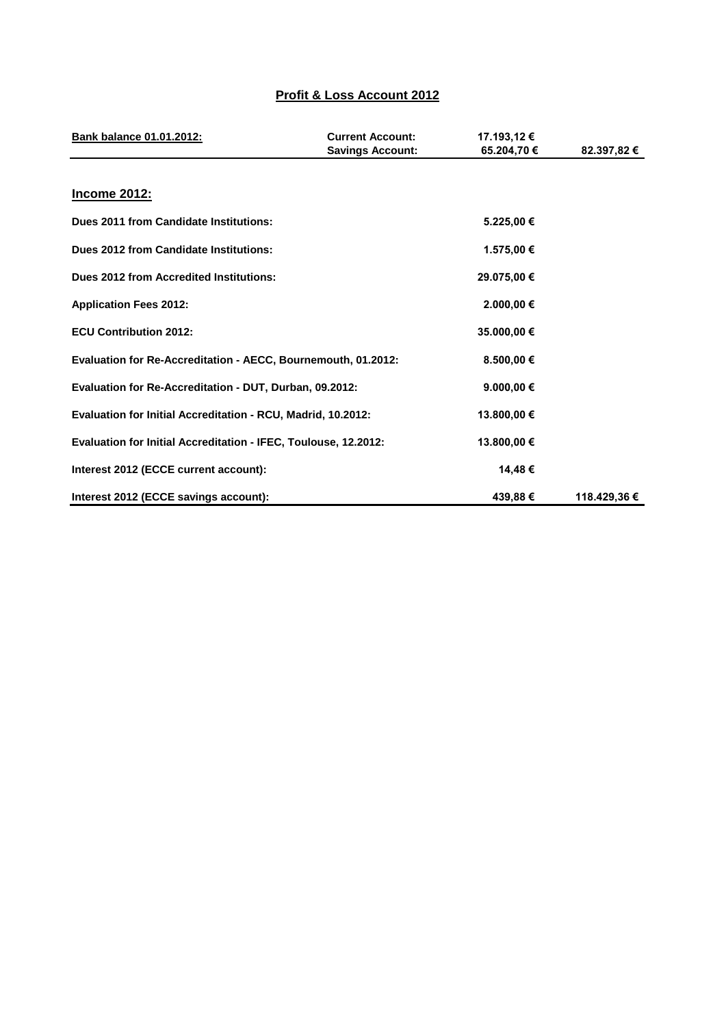## **Profit & Loss Account 2012**

| Bank balance 01.01.2012:                                        | <b>Current Account:</b><br><b>Savings Account:</b> | 17.193,12 €<br>65.204.70 € | 82.397,82 €  |
|-----------------------------------------------------------------|----------------------------------------------------|----------------------------|--------------|
| <b>Income 2012:</b>                                             |                                                    |                            |              |
| Dues 2011 from Candidate Institutions:                          |                                                    | 5.225,00 €                 |              |
| Dues 2012 from Candidate Institutions:                          |                                                    | 1.575,00 €                 |              |
| <b>Dues 2012 from Accredited Institutions:</b>                  |                                                    | 29.075,00 €                |              |
| <b>Application Fees 2012:</b>                                   |                                                    | 2.000,00 €                 |              |
| <b>ECU Contribution 2012:</b>                                   |                                                    | 35.000,00 €                |              |
| Evaluation for Re-Accreditation - AECC, Bournemouth, 01.2012:   |                                                    | 8.500,00 €                 |              |
| Evaluation for Re-Accreditation - DUT, Durban, 09.2012:         |                                                    | 9.000.00 $\in$             |              |
| Evaluation for Initial Accreditation - RCU, Madrid, 10.2012:    |                                                    | 13.800,00 €                |              |
| Evaluation for Initial Accreditation - IFEC, Toulouse, 12.2012: |                                                    | 13.800,00 €                |              |
| Interest 2012 (ECCE current account):                           |                                                    | 14,48€                     |              |
| Interest 2012 (ECCE savings account):                           |                                                    | 439,88€                    | 118.429,36 € |